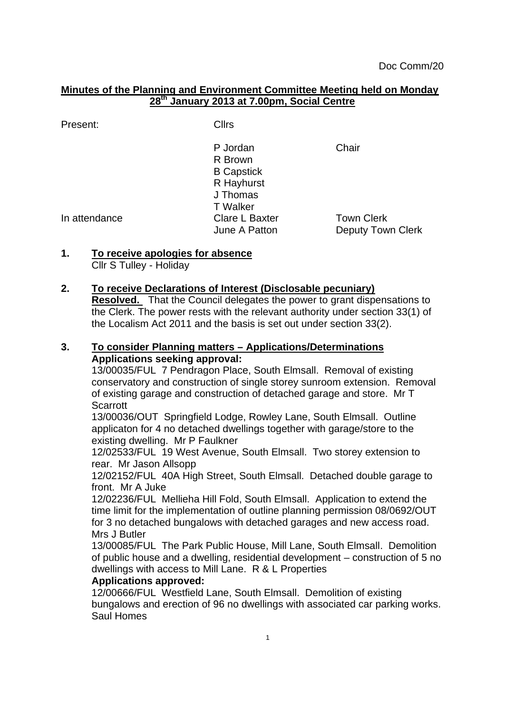#### **Minutes of the Planning and Environment Committee Meeting held on Monday 28th January 2013 at 7.00pm, Social Centre**

Present: Cllrs

P Jordan Chair R Brown B Capstick R Hayhurst J Thomas T Walker In attendance Clare L Baxter Town Clerk June A Patton **Deputy Town Clerk** 

## **1. To receive apologies for absence**

Cllr S Tulley - Holiday

## **2. To receive Declarations of Interest (Disclosable pecuniary)**

**Resolved.** That the Council delegates the power to grant dispensations to the Clerk. The power rests with the relevant authority under section 33(1) of the Localism Act 2011 and the basis is set out under section 33(2).

#### **3. To consider Planning matters – Applications/Determinations Applications seeking approval:**

13/00035/FUL 7 Pendragon Place, South Elmsall. Removal of existing conservatory and construction of single storey sunroom extension. Removal of existing garage and construction of detached garage and store. Mr T **Scarrott** 

13/00036/OUT Springfield Lodge, Rowley Lane, South Elmsall. Outline applicaton for 4 no detached dwellings together with garage/store to the existing dwelling. Mr P Faulkner

12/02533/FUL 19 West Avenue, South Elmsall. Two storey extension to rear. Mr Jason Allsopp

12/02152/FUL 40A High Street, South Elmsall. Detached double garage to front. Mr A Juke

12/02236/FUL Mellieha Hill Fold, South Elmsall. Application to extend the time limit for the implementation of outline planning permission 08/0692/OUT for 3 no detached bungalows with detached garages and new access road. Mrs J Butler

13/00085/FUL The Park Public House, Mill Lane, South Elmsall. Demolition of public house and a dwelling, residential development – construction of 5 no dwellings with access to Mill Lane. R & L Properties

## **Applications approved:**

12/00666/FUL Westfield Lane, South Elmsall. Demolition of existing bungalows and erection of 96 no dwellings with associated car parking works. Saul Homes